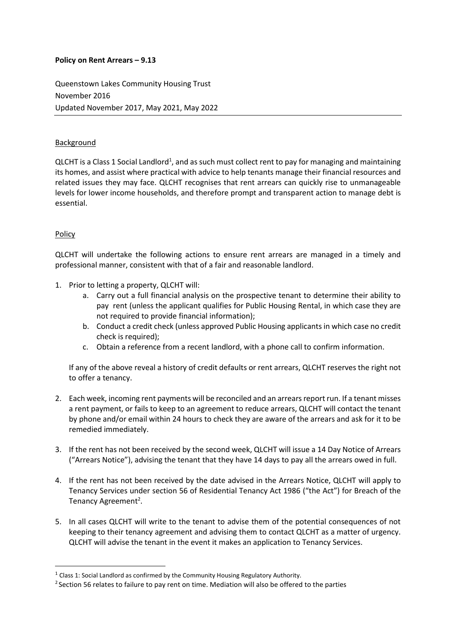## **Policy on Rent Arrears – 9.13**

Queenstown Lakes Community Housing Trust November 2016 Updated November 2017, May 2021, May 2022

## Background

QLCHT is a Class 1 Social Landlord<sup>1</sup>, and as such must collect rent to pay for managing and maintaining its homes, and assist where practical with advice to help tenants manage their financial resources and related issues they may face. QLCHT recognises that rent arrears can quickly rise to unmanageable levels for lower income households, and therefore prompt and transparent action to manage debt is essential.

## Policy

1

QLCHT will undertake the following actions to ensure rent arrears are managed in a timely and professional manner, consistent with that of a fair and reasonable landlord.

- 1. Prior to letting a property, QLCHT will:
	- a. Carry out a full financial analysis on the prospective tenant to determine their ability to pay rent (unless the applicant qualifies for Public Housing Rental, in which case they are not required to provide financial information);
	- b. Conduct a credit check (unless approved Public Housing applicants in which case no credit check is required);
	- c. Obtain a reference from a recent landlord, with a phone call to confirm information.

If any of the above reveal a history of credit defaults or rent arrears, QLCHT reserves the right not to offer a tenancy.

- 2. Each week, incoming rent payments will be reconciled and an arrears report run. If a tenant misses a rent payment, or fails to keep to an agreement to reduce arrears, QLCHT will contact the tenant by phone and/or email within 24 hours to check they are aware of the arrears and ask for it to be remedied immediately.
- 3. If the rent has not been received by the second week, QLCHT will issue a 14 Day Notice of Arrears ("Arrears Notice"), advising the tenant that they have 14 days to pay all the arrears owed in full.
- 4. If the rent has not been received by the date advised in the Arrears Notice, QLCHT will apply to Tenancy Services under section 56 of Residential Tenancy Act 1986 ("the Act") for Breach of the Tenancy Agreement<sup>2</sup>.
- 5. In all cases QLCHT will write to the tenant to advise them of the potential consequences of not keeping to their tenancy agreement and advising them to contact QLCHT as a matter of urgency. QLCHT will advise the tenant in the event it makes an application to Tenancy Services.

 $1$  Class 1: Social Landlord as confirmed by the Community Housing Regulatory Authority.

<sup>&</sup>lt;sup>2</sup> Section 56 relates to failure to pay rent on time. Mediation will also be offered to the parties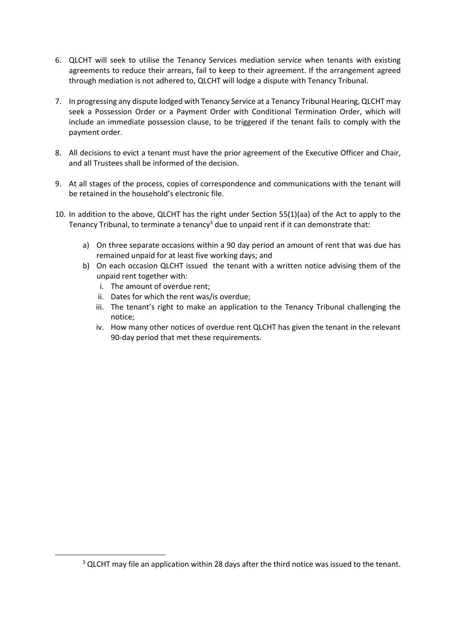- 6. QLCHT will seek to utilise the Tenancy Services mediation service when tenants with existing agreements to reduce their arrears, fail to keep to their agreement. If the arrangement agreed through mediation is not adhered to, QLCHT will lodge a dispute with Tenancy Tribunal.
- 7. In progressing any dispute lodged with Tenancy Service at a Tenancy Tribunal Hearing, QLCHT may seek a Possession Order or a Payment Order with Conditional Termination Order, which will include an immediate possession clause, to be triggered if the tenant fails to comply with the payment order.
- 8. All decisions to evict a tenant must have the prior agreement of the Executive Officer and Chair, and all Trustees shall be informed of the decision.
- 9. At all stages of the process, copies of correspondence and communications with the tenant will be retained in the household's electronic file.
- 10. In addition to the above, QLCHT has the right under Section 55(1)(aa) of the Act to apply to the Tenancy Tribunal, to terminate a tenancy<sup>3</sup> due to unpaid rent if it can demonstrate that:
	- a) On three separate occasions within a 90 day period an amount of rent that was due has remained unpaid for at least five working days; and
	- b) On each occasion QLCHT issued the tenant with a written notice advising them of the unpaid rent together with:
		- i. The amount of overdue rent;

1

- ii. Dates for which the rent was/is overdue;
- iii. The tenant's right to make an application to the Tenancy Tribunal challenging the notice;
- iv. How many other notices of overdue rent QLCHT has given the tenant in the relevant 90-day period that met these requirements.

 $3$  QLCHT may file an application within 28 days after the third notice was issued to the tenant.